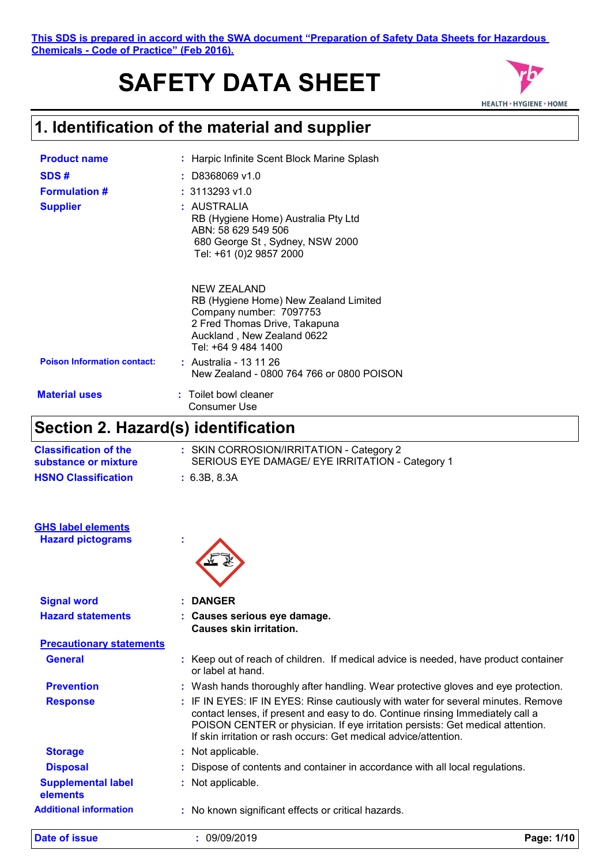#### **This SDS is prepared in accord with the SWA document "Preparation of Safety Data Sheets for Hazardous Chemicals - Code of Practice" (Feb 2016).**

# **SAFETY DATA SHEET**



### **1. Identification of the material and supplier**

| <b>Product name</b><br>SDS#<br><b>Formulation #</b><br><b>Supplier</b> | : Harpic Infinite Scent Block Marine Splash<br>$:$ D8368069 v1.0<br>$: 3113293$ v1.0<br>: AUSTRALIA<br>RB (Hygiene Home) Australia Pty Ltd<br>ABN: 58 629 549 506<br>680 George St, Sydney, NSW 2000<br>Tel: +61 (0)2 9857 2000                     |
|------------------------------------------------------------------------|-----------------------------------------------------------------------------------------------------------------------------------------------------------------------------------------------------------------------------------------------------|
| <b>Poison Information contact:</b>                                     | <b>NEW ZEALAND</b><br>RB (Hygiene Home) New Zealand Limited<br>Company number: 7097753<br>2 Fred Thomas Drive, Takapuna<br>Auckland, New Zealand 0622<br>Tel: +64 9 484 1400<br>: Australia - 13 11 26<br>New Zealand - 0800 764 766 or 0800 POISON |
| <b>Material uses</b>                                                   | : Toilet bowl cleaner<br>Consumer Use                                                                                                                                                                                                               |

#### **Section 2. Hazard(s) identification**

| Section 2. Hazard(s) Identification                   |                                                                                                                                                                                                                                                                                                                           |
|-------------------------------------------------------|---------------------------------------------------------------------------------------------------------------------------------------------------------------------------------------------------------------------------------------------------------------------------------------------------------------------------|
| <b>Classification of the</b><br>substance or mixture  | : SKIN CORROSION/IRRITATION - Category 2<br>SERIOUS EYE DAMAGE/ EYE IRRITATION - Category 1                                                                                                                                                                                                                               |
| <b>HSNO Classification</b>                            | : 6.3B, 8.3A                                                                                                                                                                                                                                                                                                              |
| <b>GHS label elements</b><br><b>Hazard pictograms</b> |                                                                                                                                                                                                                                                                                                                           |
|                                                       |                                                                                                                                                                                                                                                                                                                           |
| <b>Signal word</b>                                    | <b>DANGER</b>                                                                                                                                                                                                                                                                                                             |
| <b>Hazard statements</b>                              | : Causes serious eye damage.<br><b>Causes skin irritation.</b>                                                                                                                                                                                                                                                            |
| <b>Precautionary statements</b>                       |                                                                                                                                                                                                                                                                                                                           |
| <b>General</b>                                        | : Keep out of reach of children. If medical advice is needed, have product container<br>or label at hand.                                                                                                                                                                                                                 |
| <b>Prevention</b>                                     | : Wash hands thoroughly after handling. Wear protective gloves and eye protection.                                                                                                                                                                                                                                        |
| <b>Response</b>                                       | : IF IN EYES: IF IN EYES: Rinse cautiously with water for several minutes. Remove<br>contact lenses, if present and easy to do. Continue rinsing Immediately call a<br>POISON CENTER or physician. If eye irritation persists: Get medical attention.<br>If skin irritation or rash occurs: Get medical advice/attention. |
| <b>Storage</b>                                        | : Not applicable.                                                                                                                                                                                                                                                                                                         |
| <b>Disposal</b>                                       | Dispose of contents and container in accordance with all local regulations.                                                                                                                                                                                                                                               |
| <b>Supplemental label</b><br>elements                 | Not applicable.                                                                                                                                                                                                                                                                                                           |

**Additional information :** No known significant effects or critical hazards.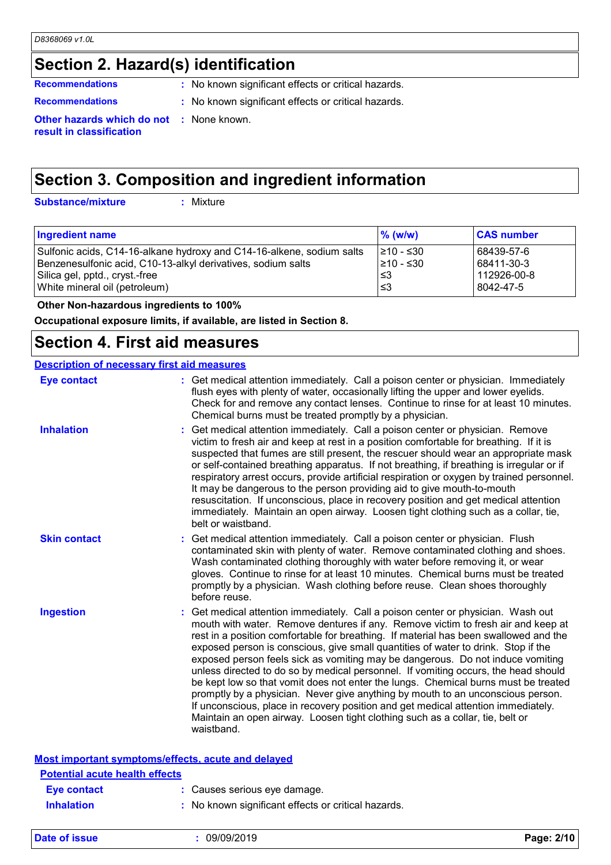### **Section 2. Hazard(s) identification**

**Recommendations :** No known significant effects or critical hazards.

- 
- **Recommendations :** No known significant effects or critical hazards.

**Other hazards which do not :** None known. **result in classification**

### **Section 3. Composition and ingredient information**

**Substance/mixture :**

: Mixture

| $\%$ (w/w) | <b>CAS number</b> |
|------------|-------------------|
| 1≥10 - ≤30 | 68439-57-6        |
| l≥10 - ≤30 | 68411-30-3        |
| ≤3         | 112926-00-8       |
| ՝≤3        | 8042-47-5         |
|            |                   |

 **Other Non-hazardous ingredients to 100%**

**Occupational exposure limits, if available, are listed in Section 8.**

#### **Section 4. First aid measures**

| <b>Description of necessary first aid measures</b> |                                                                                                                                                                                                                                                                                                                                                                                                                                                                                                                                                                                                                                                                                                                                                                                                                                                                                      |
|----------------------------------------------------|--------------------------------------------------------------------------------------------------------------------------------------------------------------------------------------------------------------------------------------------------------------------------------------------------------------------------------------------------------------------------------------------------------------------------------------------------------------------------------------------------------------------------------------------------------------------------------------------------------------------------------------------------------------------------------------------------------------------------------------------------------------------------------------------------------------------------------------------------------------------------------------|
| <b>Eye contact</b>                                 | : Get medical attention immediately. Call a poison center or physician. Immediately<br>flush eyes with plenty of water, occasionally lifting the upper and lower eyelids.<br>Check for and remove any contact lenses. Continue to rinse for at least 10 minutes.<br>Chemical burns must be treated promptly by a physician.                                                                                                                                                                                                                                                                                                                                                                                                                                                                                                                                                          |
| <b>Inhalation</b>                                  | Get medical attention immediately. Call a poison center or physician. Remove<br>victim to fresh air and keep at rest in a position comfortable for breathing. If it is<br>suspected that fumes are still present, the rescuer should wear an appropriate mask<br>or self-contained breathing apparatus. If not breathing, if breathing is irregular or if<br>respiratory arrest occurs, provide artificial respiration or oxygen by trained personnel.<br>It may be dangerous to the person providing aid to give mouth-to-mouth<br>resuscitation. If unconscious, place in recovery position and get medical attention<br>immediately. Maintain an open airway. Loosen tight clothing such as a collar, tie,<br>belt or waistband.                                                                                                                                                  |
| <b>Skin contact</b>                                | Get medical attention immediately. Call a poison center or physician. Flush<br>contaminated skin with plenty of water. Remove contaminated clothing and shoes.<br>Wash contaminated clothing thoroughly with water before removing it, or wear<br>gloves. Continue to rinse for at least 10 minutes. Chemical burns must be treated<br>promptly by a physician. Wash clothing before reuse. Clean shoes thoroughly<br>before reuse.                                                                                                                                                                                                                                                                                                                                                                                                                                                  |
| <b>Ingestion</b>                                   | Get medical attention immediately. Call a poison center or physician. Wash out<br>mouth with water. Remove dentures if any. Remove victim to fresh air and keep at<br>rest in a position comfortable for breathing. If material has been swallowed and the<br>exposed person is conscious, give small quantities of water to drink. Stop if the<br>exposed person feels sick as vomiting may be dangerous. Do not induce vomiting<br>unless directed to do so by medical personnel. If vomiting occurs, the head should<br>be kept low so that vomit does not enter the lungs. Chemical burns must be treated<br>promptly by a physician. Never give anything by mouth to an unconscious person.<br>If unconscious, place in recovery position and get medical attention immediately.<br>Maintain an open airway. Loosen tight clothing such as a collar, tie, belt or<br>waistband. |
| Most important symptoms/effects, acute and delayed |                                                                                                                                                                                                                                                                                                                                                                                                                                                                                                                                                                                                                                                                                                                                                                                                                                                                                      |
| <b>Potential acute health effects</b>              |                                                                                                                                                                                                                                                                                                                                                                                                                                                                                                                                                                                                                                                                                                                                                                                                                                                                                      |
| <b>Eye contact</b>                                 | : Causes serious eye damage.                                                                                                                                                                                                                                                                                                                                                                                                                                                                                                                                                                                                                                                                                                                                                                                                                                                         |
| <b>Inhalation</b>                                  | : No known significant effects or critical hazards.                                                                                                                                                                                                                                                                                                                                                                                                                                                                                                                                                                                                                                                                                                                                                                                                                                  |

**Date of issue :** 09/09/2019 **Page: 2/10**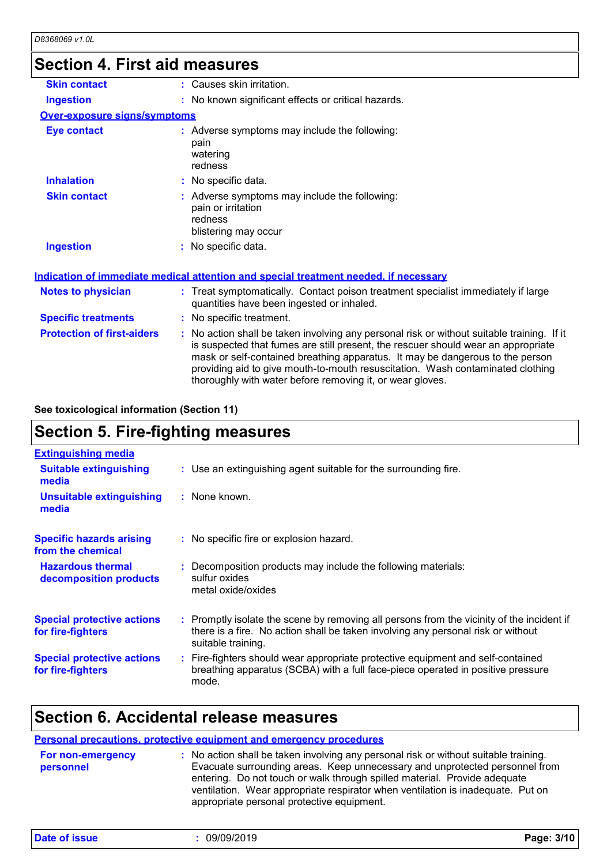### **Section 4. First aid measures**

| <b>Skin contact</b>                 | : Causes skin irritation.                                                                                                                                                                                                                                                                                                                                                                                       |  |
|-------------------------------------|-----------------------------------------------------------------------------------------------------------------------------------------------------------------------------------------------------------------------------------------------------------------------------------------------------------------------------------------------------------------------------------------------------------------|--|
| <b>Ingestion</b>                    | : No known significant effects or critical hazards.                                                                                                                                                                                                                                                                                                                                                             |  |
| <b>Over-exposure signs/symptoms</b> |                                                                                                                                                                                                                                                                                                                                                                                                                 |  |
| <b>Eye contact</b>                  | : Adverse symptoms may include the following:<br>pain<br>watering<br>redness                                                                                                                                                                                                                                                                                                                                    |  |
| <b>Inhalation</b>                   | : No specific data.                                                                                                                                                                                                                                                                                                                                                                                             |  |
| <b>Skin contact</b>                 | : Adverse symptoms may include the following:<br>pain or irritation<br>redness<br>blistering may occur                                                                                                                                                                                                                                                                                                          |  |
| <b>Ingestion</b>                    | : No specific data.                                                                                                                                                                                                                                                                                                                                                                                             |  |
|                                     | <b>Indication of immediate medical attention and special treatment needed, if necessary</b>                                                                                                                                                                                                                                                                                                                     |  |
| <b>Notes to physician</b>           | : Treat symptomatically. Contact poison treatment specialist immediately if large<br>quantities have been ingested or inhaled.                                                                                                                                                                                                                                                                                  |  |
| <b>Specific treatments</b>          | : No specific treatment.                                                                                                                                                                                                                                                                                                                                                                                        |  |
| <b>Protection of first-aiders</b>   | : No action shall be taken involving any personal risk or without suitable training. If it<br>is suspected that fumes are still present, the rescuer should wear an appropriate<br>mask or self-contained breathing apparatus. It may be dangerous to the person<br>providing aid to give mouth-to-mouth resuscitation. Wash contaminated clothing<br>thoroughly with water before removing it, or wear gloves. |  |

#### **See toxicological information (Section 11)**

### **Section 5. Fire-fighting measures**

| <b>Extinguishing media</b>                             |                                                                                                                                                                                                     |
|--------------------------------------------------------|-----------------------------------------------------------------------------------------------------------------------------------------------------------------------------------------------------|
| <b>Suitable extinguishing</b><br>media                 | : Use an extinguishing agent suitable for the surrounding fire.                                                                                                                                     |
| <b>Unsuitable extinguishing</b><br>media               | : None known.                                                                                                                                                                                       |
| <b>Specific hazards arising</b><br>from the chemical   | : No specific fire or explosion hazard.                                                                                                                                                             |
| <b>Hazardous thermal</b><br>decomposition products     | : Decomposition products may include the following materials:<br>sulfur oxides<br>metal oxide/oxides                                                                                                |
| <b>Special protective actions</b><br>for fire-fighters | : Promptly isolate the scene by removing all persons from the vicinity of the incident if<br>there is a fire. No action shall be taken involving any personal risk or without<br>suitable training. |
| <b>Special protective actions</b><br>for fire-fighters | : Fire-fighters should wear appropriate protective equipment and self-contained<br>breathing apparatus (SCBA) with a full face-piece operated in positive pressure<br>mode.                         |

#### **Section 6. Accidental release measures**

#### **Personal precautions, protective equipment and emergency procedures**

| <b>For non-emergency</b> | : No action shall be taken involving any personal risk or without suitable training.                                                                                                                                                                                                      |
|--------------------------|-------------------------------------------------------------------------------------------------------------------------------------------------------------------------------------------------------------------------------------------------------------------------------------------|
| personnel                | Evacuate surrounding areas. Keep unnecessary and unprotected personnel from<br>entering. Do not touch or walk through spilled material. Provide adequate<br>ventilation. Wear appropriate respirator when ventilation is inadequate. Put on<br>appropriate personal protective equipment. |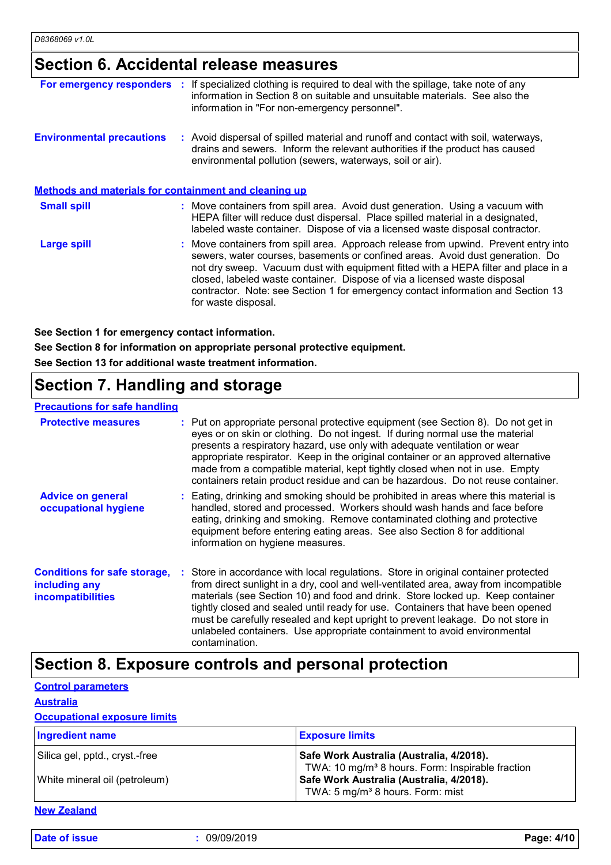#### **Section 6. Accidental release measures**

| For emergency responders :                            | If specialized clothing is required to deal with the spillage, take note of any<br>information in Section 8 on suitable and unsuitable materials. See also the<br>information in "For non-emergency personnel".                                                                                                                                                                                                                                    |
|-------------------------------------------------------|----------------------------------------------------------------------------------------------------------------------------------------------------------------------------------------------------------------------------------------------------------------------------------------------------------------------------------------------------------------------------------------------------------------------------------------------------|
| <b>Environmental precautions</b>                      | : Avoid dispersal of spilled material and runoff and contact with soil, waterways,<br>drains and sewers. Inform the relevant authorities if the product has caused<br>environmental pollution (sewers, waterways, soil or air).                                                                                                                                                                                                                    |
| Methods and materials for containment and cleaning up |                                                                                                                                                                                                                                                                                                                                                                                                                                                    |
| <b>Small spill</b>                                    | : Move containers from spill area. Avoid dust generation. Using a vacuum with<br>HEPA filter will reduce dust dispersal. Place spilled material in a designated,<br>labeled waste container. Dispose of via a licensed waste disposal contractor.                                                                                                                                                                                                  |
| Large spill                                           | : Move containers from spill area. Approach release from upwind. Prevent entry into<br>sewers, water courses, basements or confined areas. Avoid dust generation. Do<br>not dry sweep. Vacuum dust with equipment fitted with a HEPA filter and place in a<br>closed, labeled waste container. Dispose of via a licensed waste disposal<br>contractor. Note: see Section 1 for emergency contact information and Section 13<br>for waste disposal. |

**See Section 1 for emergency contact information.**

**See Section 8 for information on appropriate personal protective equipment. See Section 13 for additional waste treatment information.**

### **Section 7. Handling and storage**

#### **Precautions for safe handling**

| <u>TO OWNER THE TOT OWIO THEIR MITHS</u>                                         |                                                                                                                                                                                                                                                                                                                                                                                                                                                                                                                                 |
|----------------------------------------------------------------------------------|---------------------------------------------------------------------------------------------------------------------------------------------------------------------------------------------------------------------------------------------------------------------------------------------------------------------------------------------------------------------------------------------------------------------------------------------------------------------------------------------------------------------------------|
| <b>Protective measures</b>                                                       | : Put on appropriate personal protective equipment (see Section 8). Do not get in<br>eyes or on skin or clothing. Do not ingest. If during normal use the material<br>presents a respiratory hazard, use only with adequate ventilation or wear<br>appropriate respirator. Keep in the original container or an approved alternative<br>made from a compatible material, kept tightly closed when not in use. Empty<br>containers retain product residue and can be hazardous. Do not reuse container.                          |
| <b>Advice on general</b><br>occupational hygiene                                 | : Eating, drinking and smoking should be prohibited in areas where this material is<br>handled, stored and processed. Workers should wash hands and face before<br>eating, drinking and smoking. Remove contaminated clothing and protective<br>equipment before entering eating areas. See also Section 8 for additional<br>information on hygiene measures.                                                                                                                                                                   |
| <b>Conditions for safe storage,</b><br>including any<br><b>incompatibilities</b> | Store in accordance with local regulations. Store in original container protected<br>from direct sunlight in a dry, cool and well-ventilated area, away from incompatible<br>materials (see Section 10) and food and drink. Store locked up. Keep container<br>tightly closed and sealed until ready for use. Containers that have been opened<br>must be carefully resealed and kept upright to prevent leakage. Do not store in<br>unlabeled containers. Use appropriate containment to avoid environmental<br>contamination. |

#### **Section 8. Exposure controls and personal protection**

**Control parameters Australia**

#### **Occupational exposure limits**

| <b>Ingredient name</b>                                          | <b>Exposure limits</b>                                                                                                                               |
|-----------------------------------------------------------------|------------------------------------------------------------------------------------------------------------------------------------------------------|
| Silica gel, pptd., cryst.-free<br>White mineral oil (petroleum) | Safe Work Australia (Australia, 4/2018).<br>TWA: 10 mg/m <sup>3</sup> 8 hours. Form: Inspirable fraction<br>Safe Work Australia (Australia, 4/2018). |
|                                                                 | TWA: 5 mg/m <sup>3</sup> 8 hours. Form: mist                                                                                                         |

**New Zealand**

**Date of issue :** 09/09/2019 **Page: 4/10**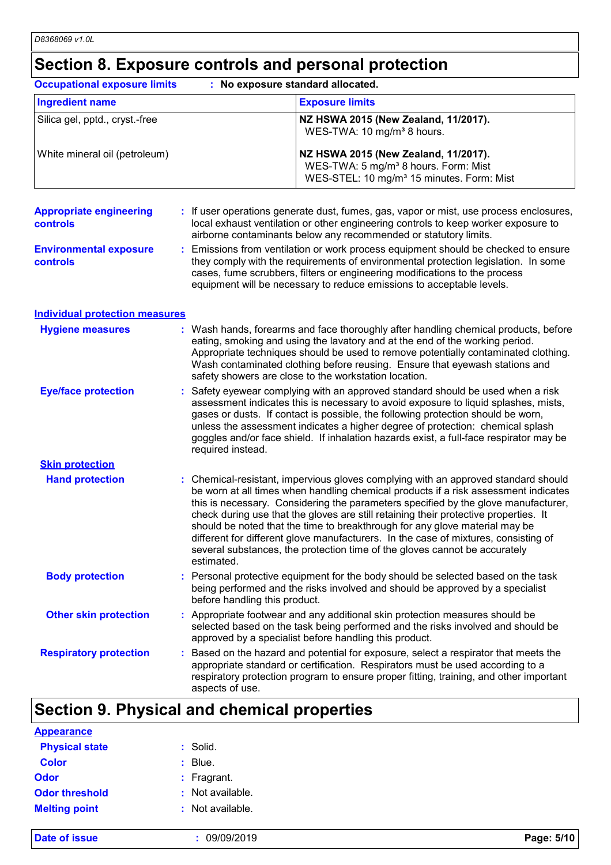## **Section 8. Exposure controls and personal protection**

|                                                   | <b>Occupational exposure limits</b><br>: No exposure standard allocated. |                                                                                                                                                                                                                                                                                                                                                                                                                                                                                                                                                                                                             |  |
|---------------------------------------------------|--------------------------------------------------------------------------|-------------------------------------------------------------------------------------------------------------------------------------------------------------------------------------------------------------------------------------------------------------------------------------------------------------------------------------------------------------------------------------------------------------------------------------------------------------------------------------------------------------------------------------------------------------------------------------------------------------|--|
| <b>Ingredient name</b>                            |                                                                          | <b>Exposure limits</b>                                                                                                                                                                                                                                                                                                                                                                                                                                                                                                                                                                                      |  |
| Silica gel, pptd., cryst.-free                    |                                                                          | NZ HSWA 2015 (New Zealand, 11/2017).<br>WES-TWA: 10 mg/m <sup>3</sup> 8 hours.                                                                                                                                                                                                                                                                                                                                                                                                                                                                                                                              |  |
| White mineral oil (petroleum)                     |                                                                          | NZ HSWA 2015 (New Zealand, 11/2017).<br>WES-TWA: 5 mg/m <sup>3</sup> 8 hours. Form: Mist<br>WES-STEL: 10 mg/m <sup>3</sup> 15 minutes. Form: Mist                                                                                                                                                                                                                                                                                                                                                                                                                                                           |  |
| <b>Appropriate engineering</b><br><b>controls</b> |                                                                          | : If user operations generate dust, fumes, gas, vapor or mist, use process enclosures,<br>local exhaust ventilation or other engineering controls to keep worker exposure to<br>airborne contaminants below any recommended or statutory limits.                                                                                                                                                                                                                                                                                                                                                            |  |
| <b>Environmental exposure</b><br><b>controls</b>  |                                                                          | : Emissions from ventilation or work process equipment should be checked to ensure<br>they comply with the requirements of environmental protection legislation. In some<br>cases, fume scrubbers, filters or engineering modifications to the process<br>equipment will be necessary to reduce emissions to acceptable levels.                                                                                                                                                                                                                                                                             |  |
| <b>Individual protection measures</b>             |                                                                          |                                                                                                                                                                                                                                                                                                                                                                                                                                                                                                                                                                                                             |  |
| <b>Hygiene measures</b>                           |                                                                          | : Wash hands, forearms and face thoroughly after handling chemical products, before<br>eating, smoking and using the lavatory and at the end of the working period.<br>Appropriate techniques should be used to remove potentially contaminated clothing.<br>Wash contaminated clothing before reusing. Ensure that eyewash stations and<br>safety showers are close to the workstation location.                                                                                                                                                                                                           |  |
| <b>Eye/face protection</b>                        | required instead.                                                        | : Safety eyewear complying with an approved standard should be used when a risk<br>assessment indicates this is necessary to avoid exposure to liquid splashes, mists,<br>gases or dusts. If contact is possible, the following protection should be worn,<br>unless the assessment indicates a higher degree of protection: chemical splash<br>goggles and/or face shield. If inhalation hazards exist, a full-face respirator may be                                                                                                                                                                      |  |
| <b>Skin protection</b>                            |                                                                          |                                                                                                                                                                                                                                                                                                                                                                                                                                                                                                                                                                                                             |  |
| <b>Hand protection</b>                            | estimated.                                                               | : Chemical-resistant, impervious gloves complying with an approved standard should<br>be worn at all times when handling chemical products if a risk assessment indicates<br>this is necessary. Considering the parameters specified by the glove manufacturer,<br>check during use that the gloves are still retaining their protective properties. It<br>should be noted that the time to breakthrough for any glove material may be<br>different for different glove manufacturers. In the case of mixtures, consisting of<br>several substances, the protection time of the gloves cannot be accurately |  |
| <b>Body protection</b>                            | before handling this product.                                            | : Personal protective equipment for the body should be selected based on the task<br>being performed and the risks involved and should be approved by a specialist                                                                                                                                                                                                                                                                                                                                                                                                                                          |  |
| <b>Other skin protection</b>                      |                                                                          | : Appropriate footwear and any additional skin protection measures should be<br>selected based on the task being performed and the risks involved and should be<br>approved by a specialist before handling this product.                                                                                                                                                                                                                                                                                                                                                                                   |  |
| <b>Respiratory protection</b>                     | aspects of use.                                                          | : Based on the hazard and potential for exposure, select a respirator that meets the<br>appropriate standard or certification. Respirators must be used according to a<br>respiratory protection program to ensure proper fitting, training, and other important                                                                                                                                                                                                                                                                                                                                            |  |

#### **Section 9. Physical and chemical properties**

| $:$ Solid.         |
|--------------------|
| $\therefore$ Blue. |
| $:$ Fragrant.      |
| : Not available.   |
| : Not available.   |
|                    |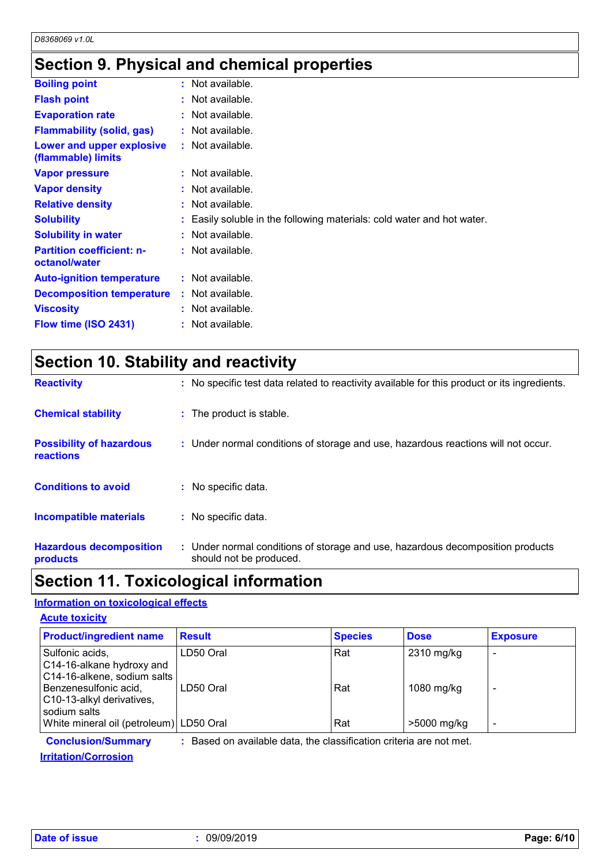### **Section 9. Physical and chemical properties**

| <b>Boiling point</b>                              | $:$ Not available.                                                     |
|---------------------------------------------------|------------------------------------------------------------------------|
| <b>Flash point</b>                                | : Not available.                                                       |
| <b>Evaporation rate</b>                           | : Not available.                                                       |
| <b>Flammability (solid, gas)</b>                  | : Not available.                                                       |
| Lower and upper explosive<br>(flammable) limits   | $:$ Not available.                                                     |
| <b>Vapor pressure</b>                             | $:$ Not available.                                                     |
| <b>Vapor density</b>                              | : Not available.                                                       |
| <b>Relative density</b>                           | $:$ Not available.                                                     |
| <b>Solubility</b>                                 | : Easily soluble in the following materials: cold water and hot water. |
| <b>Solubility in water</b>                        | $:$ Not available.                                                     |
| <b>Partition coefficient: n-</b><br>octanol/water | $:$ Not available.                                                     |
| <b>Auto-ignition temperature</b>                  | : Not available.                                                       |
| <b>Decomposition temperature</b>                  | $:$ Not available.                                                     |
| <b>Viscosity</b>                                  | : Not available.                                                       |
| Flow time (ISO 2431)                              | : Not available.                                                       |
|                                                   |                                                                        |

|  | <b>Section 10. Stability and reactivity</b> |  |
|--|---------------------------------------------|--|
|--|---------------------------------------------|--|

| <b>Reactivity</b>                            | : No specific test data related to reactivity available for this product or its ingredients.              |
|----------------------------------------------|-----------------------------------------------------------------------------------------------------------|
| <b>Chemical stability</b>                    | : The product is stable.                                                                                  |
| <b>Possibility of hazardous</b><br>reactions | : Under normal conditions of storage and use, hazardous reactions will not occur.                         |
| <b>Conditions to avoid</b>                   | : No specific data.                                                                                       |
| Incompatible materials                       | : No specific data.                                                                                       |
| <b>Hazardous decomposition</b><br>products   | : Under normal conditions of storage and use, hazardous decomposition products<br>should not be produced. |

#### **Section 11. Toxicological information**

#### **Information on toxicological effects**

| <b>Acute toxicity</b>                                                                                                             |                        |                |                          |                 |
|-----------------------------------------------------------------------------------------------------------------------------------|------------------------|----------------|--------------------------|-----------------|
| <b>Product/ingredient name</b>                                                                                                    | <b>Result</b>          | <b>Species</b> | <b>Dose</b>              | <b>Exposure</b> |
| Sulfonic acids,<br>C14-16-alkane hydroxy and<br>C14-16-alkene, sodium salts<br>Benzenesulfonic acid,<br>C10-13-alkyl derivatives, | LD50 Oral<br>LD50 Oral | Rat<br>Rat     | 2310 mg/kg<br>1080 mg/kg |                 |
| sodium salts<br>White mineral oil (petroleum) LD50 Oral                                                                           |                        | Rat            | >5000 mg/kg              | -               |

**Conclusion/Summary :** Based on available data, the classification criteria are not met.

**Irritation/Corrosion**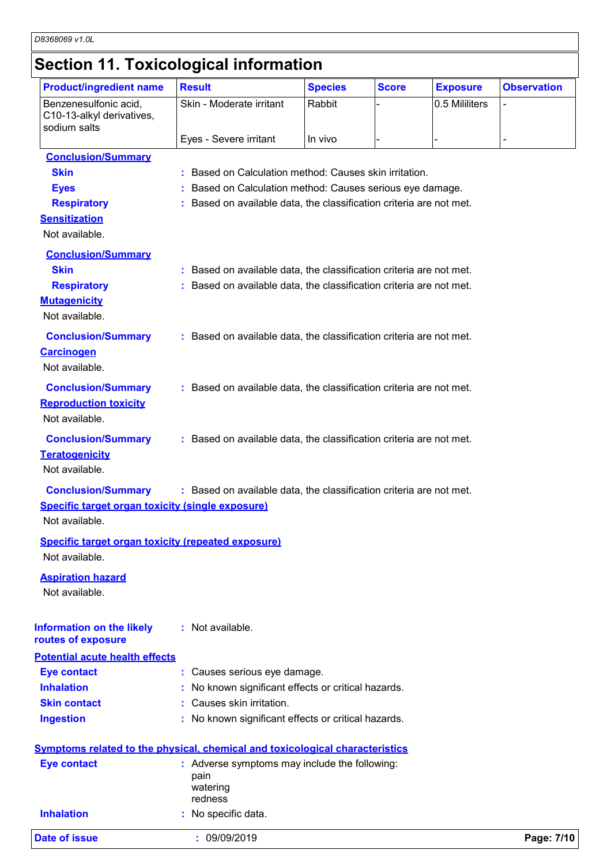### **Section 11. Toxicological information**

| <b>Product/ingredient name</b>                            | <b>Result</b>                                                                       | <b>Species</b> | <b>Score</b> | <b>Exposure</b> | <b>Observation</b> |
|-----------------------------------------------------------|-------------------------------------------------------------------------------------|----------------|--------------|-----------------|--------------------|
| Benzenesulfonic acid,<br>C10-13-alkyl derivatives,        | Skin - Moderate irritant                                                            | Rabbit         |              | 0.5 Mililiters  | L,                 |
| sodium salts                                              | Eyes - Severe irritant                                                              | In vivo        |              |                 |                    |
|                                                           |                                                                                     |                |              |                 |                    |
| <b>Conclusion/Summary</b><br><b>Skin</b>                  | : Based on Calculation method: Causes skin irritation.                              |                |              |                 |                    |
|                                                           | : Based on Calculation method: Causes serious eye damage.                           |                |              |                 |                    |
| <b>Eyes</b><br><b>Respiratory</b>                         | : Based on available data, the classification criteria are not met.                 |                |              |                 |                    |
| <b>Sensitization</b>                                      |                                                                                     |                |              |                 |                    |
| Not available.                                            |                                                                                     |                |              |                 |                    |
|                                                           |                                                                                     |                |              |                 |                    |
| <b>Conclusion/Summary</b><br><b>Skin</b>                  | : Based on available data, the classification criteria are not met.                 |                |              |                 |                    |
|                                                           |                                                                                     |                |              |                 |                    |
| <b>Respiratory</b><br><b>Mutagenicity</b>                 | : Based on available data, the classification criteria are not met.                 |                |              |                 |                    |
| Not available.                                            |                                                                                     |                |              |                 |                    |
|                                                           |                                                                                     |                |              |                 |                    |
| <b>Conclusion/Summary</b>                                 | : Based on available data, the classification criteria are not met.                 |                |              |                 |                    |
| <b>Carcinogen</b>                                         |                                                                                     |                |              |                 |                    |
| Not available.                                            |                                                                                     |                |              |                 |                    |
| <b>Conclusion/Summary</b>                                 | : Based on available data, the classification criteria are not met.                 |                |              |                 |                    |
| <b>Reproduction toxicity</b>                              |                                                                                     |                |              |                 |                    |
| Not available.                                            |                                                                                     |                |              |                 |                    |
| <b>Conclusion/Summary</b>                                 | : Based on available data, the classification criteria are not met.                 |                |              |                 |                    |
| <b>Teratogenicity</b>                                     |                                                                                     |                |              |                 |                    |
| Not available.                                            |                                                                                     |                |              |                 |                    |
| <b>Conclusion/Summary</b>                                 | : Based on available data, the classification criteria are not met.                 |                |              |                 |                    |
| <b>Specific target organ toxicity (single exposure)</b>   |                                                                                     |                |              |                 |                    |
| Not available.                                            |                                                                                     |                |              |                 |                    |
|                                                           |                                                                                     |                |              |                 |                    |
| <b>Specific target organ toxicity (repeated exposure)</b> |                                                                                     |                |              |                 |                    |
| Not available.                                            |                                                                                     |                |              |                 |                    |
| <b>Aspiration hazard</b>                                  |                                                                                     |                |              |                 |                    |
| Not available.                                            |                                                                                     |                |              |                 |                    |
|                                                           |                                                                                     |                |              |                 |                    |
| <b>Information on the likely</b>                          | : Not available.                                                                    |                |              |                 |                    |
| routes of exposure                                        |                                                                                     |                |              |                 |                    |
| <b>Potential acute health effects</b>                     |                                                                                     |                |              |                 |                    |
| <b>Eye contact</b>                                        | : Causes serious eye damage.                                                        |                |              |                 |                    |
| <b>Inhalation</b>                                         | : No known significant effects or critical hazards.                                 |                |              |                 |                    |
| <b>Skin contact</b>                                       | : Causes skin irritation.                                                           |                |              |                 |                    |
| <b>Ingestion</b>                                          | : No known significant effects or critical hazards.                                 |                |              |                 |                    |
|                                                           | <b>Symptoms related to the physical, chemical and toxicological characteristics</b> |                |              |                 |                    |
| <b>Eye contact</b>                                        | : Adverse symptoms may include the following:                                       |                |              |                 |                    |
|                                                           | pain                                                                                |                |              |                 |                    |
|                                                           | watering                                                                            |                |              |                 |                    |
| <b>Inhalation</b>                                         | redness                                                                             |                |              |                 |                    |
|                                                           | : No specific data.                                                                 |                |              |                 |                    |
| <b>Date of issue</b>                                      | : 09/09/2019                                                                        |                |              |                 | Page: 7/10         |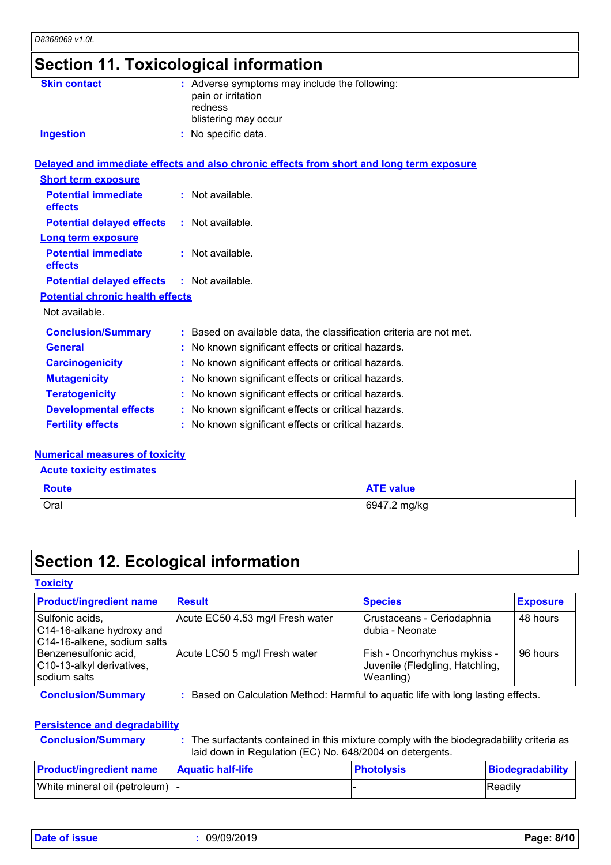## **Section 11. Toxicological information**

| <b>Skin contact</b>                               | : Adverse symptoms may include the following:<br>pain or irritation<br>redness<br>blistering may occur |  |
|---------------------------------------------------|--------------------------------------------------------------------------------------------------------|--|
| <b>Ingestion</b>                                  | : No specific data.                                                                                    |  |
|                                                   | Delayed and immediate effects and also chronic effects from short and long term exposure               |  |
| <b>Short term exposure</b>                        |                                                                                                        |  |
| <b>Potential immediate</b><br>effects             | : Not available.                                                                                       |  |
| <b>Potential delayed effects</b>                  | : Not available.                                                                                       |  |
| <b>Long term exposure</b>                         |                                                                                                        |  |
| <b>Potential immediate</b><br>effects             | : Not available.                                                                                       |  |
| <b>Potential delayed effects : Not available.</b> |                                                                                                        |  |
| <b>Potential chronic health effects</b>           |                                                                                                        |  |
| Not available.                                    |                                                                                                        |  |
| <b>Conclusion/Summary</b>                         | : Based on available data, the classification criteria are not met.                                    |  |
| <b>General</b>                                    | : No known significant effects or critical hazards.                                                    |  |
| <b>Carcinogenicity</b>                            | : No known significant effects or critical hazards.                                                    |  |
| <b>Mutagenicity</b>                               | : No known significant effects or critical hazards.                                                    |  |
| <b>Teratogenicity</b>                             | : No known significant effects or critical hazards.                                                    |  |
| <b>Developmental effects</b>                      | : No known significant effects or critical hazards.                                                    |  |
| <b>Fertility effects</b>                          | : No known significant effects or critical hazards.                                                    |  |

#### **Numerical measures of toxicity**

**Acute toxicity estimates**

| <b>Route</b> | <b>ATE value</b> |
|--------------|------------------|
| Oral         | 6947.2 mg/kg     |

#### **Section 12. Ecological information**

#### **Toxicity**

| <b>Product/ingredient name</b>                                              | <b>Result</b>                                                                   | <b>Species</b>                                                               | <b>Exposure</b> |
|-----------------------------------------------------------------------------|---------------------------------------------------------------------------------|------------------------------------------------------------------------------|-----------------|
| Sulfonic acids,<br>C14-16-alkane hydroxy and<br>C14-16-alkene, sodium salts | Acute EC50 4.53 mg/l Fresh water                                                | Crustaceans - Ceriodaphnia<br>dubia - Neonate                                | 48 hours        |
| Benzenesulfonic acid,<br>C10-13-alkyl derivatives,<br>sodium salts          | Acute LC50 5 mg/l Fresh water                                                   | Fish - Oncorhynchus mykiss -<br>Juvenile (Fledgling, Hatchling,<br>Weanling) | 96 hours        |
| <b>Conclusion/Summary</b>                                                   | Based on Calculation Method: Harmful to aquatic life with long lasting effects. |                                                                              |                 |

#### **Persistence and degradability**

|  |  |  | <b>Conclusion/Sumn</b> |
|--|--|--|------------------------|
|  |  |  |                        |

**Clusion/Summary :** The surfactants contained in this mixture comply with the biodegradability criteria as laid down in Regulation (EC) No. 648/2004 on detergents.

| <b>Product/ingredient name</b>   | <b>Aquatic half-life</b> | <b>Photolysis</b> | Biodegradability |
|----------------------------------|--------------------------|-------------------|------------------|
| White mineral oil (petroleum)  - |                          |                   | Readily          |

**Date of issue :** 09/09/2019 **Page: 8/10**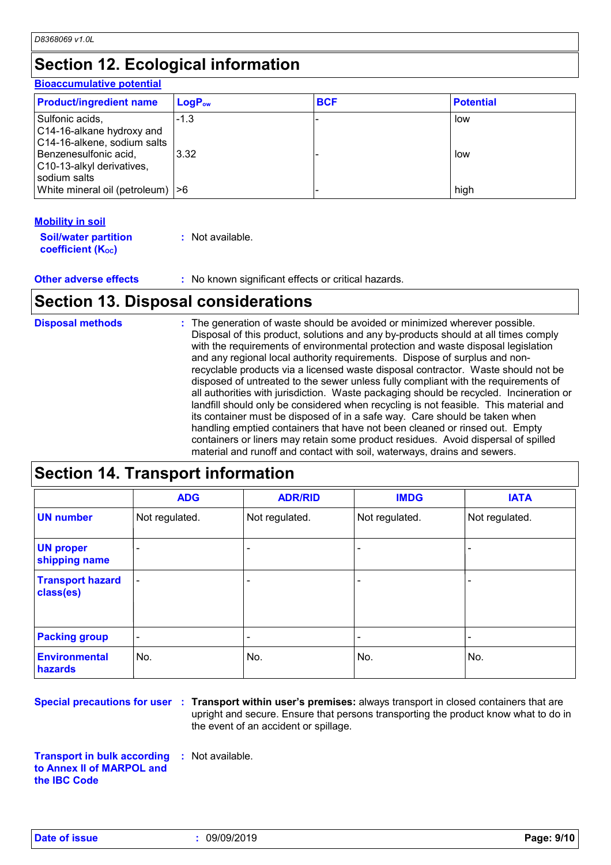### **Section 12. Ecological information**

#### **Bioaccumulative potential**

| <b>Product/ingredient name</b>                                              | $LogP_{ow}$ | <b>BCF</b> | <b>Potential</b> |
|-----------------------------------------------------------------------------|-------------|------------|------------------|
| Sulfonic acids,<br>C14-16-alkane hydroxy and<br>C14-16-alkene, sodium salts | $-1.3$      |            | low              |
| Benzenesulfonic acid,<br>C10-13-alkyl derivatives,<br>sodium salts          | 3.32        |            | low              |
| White mineral oil (petroleum)  >6                                           |             |            | high             |

#### **Mobility in soil**

| <b>Soil/water partition</b> | : Not available. |
|-----------------------------|------------------|
| <b>coefficient (Koc)</b>    |                  |

**Other adverse effects** : No known significant effects or critical hazards.

### **Section 13. Disposal considerations**

| <b>Disposal methods</b> | : The generation of waste should be avoided or minimized wherever possible.<br>Disposal of this product, solutions and any by-products should at all times comply<br>with the requirements of environmental protection and waste disposal legislation<br>and any regional local authority requirements. Dispose of surplus and non-<br>recyclable products via a licensed waste disposal contractor. Waste should not be<br>disposed of untreated to the sewer unless fully compliant with the requirements of<br>all authorities with jurisdiction. Waste packaging should be recycled. Incineration or<br>landfill should only be considered when recycling is not feasible. This material and<br>its container must be disposed of in a safe way. Care should be taken when<br>handling emptied containers that have not been cleaned or rinsed out. Empty<br>containers or liners may retain some product residues. Avoid dispersal of spilled |
|-------------------------|----------------------------------------------------------------------------------------------------------------------------------------------------------------------------------------------------------------------------------------------------------------------------------------------------------------------------------------------------------------------------------------------------------------------------------------------------------------------------------------------------------------------------------------------------------------------------------------------------------------------------------------------------------------------------------------------------------------------------------------------------------------------------------------------------------------------------------------------------------------------------------------------------------------------------------------------------|
|                         | material and runoff and contact with soil, waterways, drains and sewers.                                                                                                                                                                                                                                                                                                                                                                                                                                                                                                                                                                                                                                                                                                                                                                                                                                                                           |

#### **Section 14. Transport information**

|                                      | <b>ADG</b>               | <b>ADR/RID</b> | <b>IMDG</b>    | <b>IATA</b>    |
|--------------------------------------|--------------------------|----------------|----------------|----------------|
| <b>UN number</b>                     | Not regulated.           | Not regulated. | Not regulated. | Not regulated. |
| <b>UN proper</b><br>shipping name    | -                        |                |                |                |
| <b>Transport hazard</b><br>class(es) |                          |                |                |                |
| <b>Packing group</b>                 | $\overline{\phantom{a}}$ |                | ٠              |                |
| <b>Environmental</b><br>hazards      | No.                      | No.            | No.            | No.            |

**Special precautions for user Transport within user's premises:** always transport in closed containers that are **:** upright and secure. Ensure that persons transporting the product know what to do in the event of an accident or spillage.

**Transport in bulk according to Annex II of MARPOL and the IBC Code :** Not available.